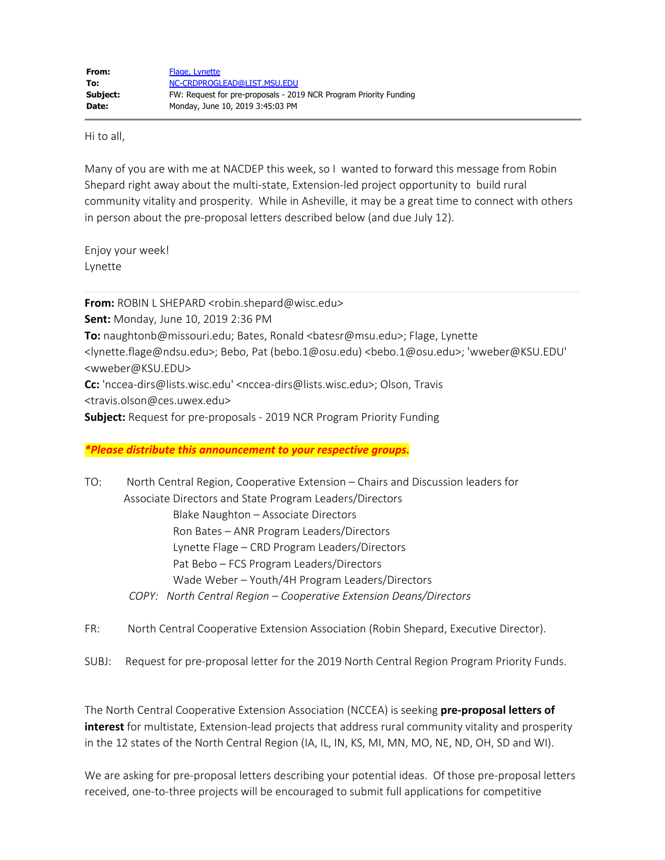Hi to all,

Many of you are with me at NACDEP this week, so I wanted to forward this message from Robin Shepard right away about the multi-state, Extension-led project opportunity to build rural community vitality and prosperity. While in Asheville, it may be a great time to connect with others in person about the pre-proposal letters described below (and due July 12).

Enjoy your week! Lynette

**From:** ROBIN L SHEPARD <robin.shepard@wisc.edu> **Sent:** Monday, June 10, 2019 2:36 PM **To:** naughtonb@missouri.edu; Bates, Ronald <br/>batesr@msu.edu>; Flage, Lynette <lynette.flage@ndsu.edu>; Bebo, Pat (bebo.1@osu.edu) <bebo.1@osu.edu>; 'wweber@KSU.EDU' <wweber@KSU.EDU> **Cc:** 'nccea-dirs@lists.wisc.edu' <nccea-dirs@lists.wisc.edu>; Olson, Travis

<travis.olson@ces.uwex.edu>

**Subject:** Request for pre-proposals - 2019 NCR Program Priority Funding

#### *\*Please distribute this announcement to your respective groups.*

TO: North Central Region, Cooperative Extension – Chairs and Discussion leaders for Associate Directors and State Program Leaders/Directors Blake Naughton – Associate Directors Ron Bates – ANR Program Leaders/Directors Lynette Flage – CRD Program Leaders/Directors Pat Bebo – FCS Program Leaders/Directors Wade Weber – Youth/4H Program Leaders/Directors  *COPY: North Central Region – Cooperative Extension Deans/Directors*

FR: North Central Cooperative Extension Association (Robin Shepard, Executive Director).

SUBJ: Request for pre-proposal letter for the 2019 North Central Region Program Priority Funds.

The North Central Cooperative Extension Association (NCCEA) is seeking **pre-proposal letters of interest** for multistate, Extension-lead projects that address rural community vitality and prosperity in the 12 states of the North Central Region (IA, IL, IN, KS, MI, MN, MO, NE, ND, OH, SD and WI).

We are asking for pre-proposal letters describing your potential ideas. Of those pre-proposal letters received, one-to-three projects will be encouraged to submit full applications for competitive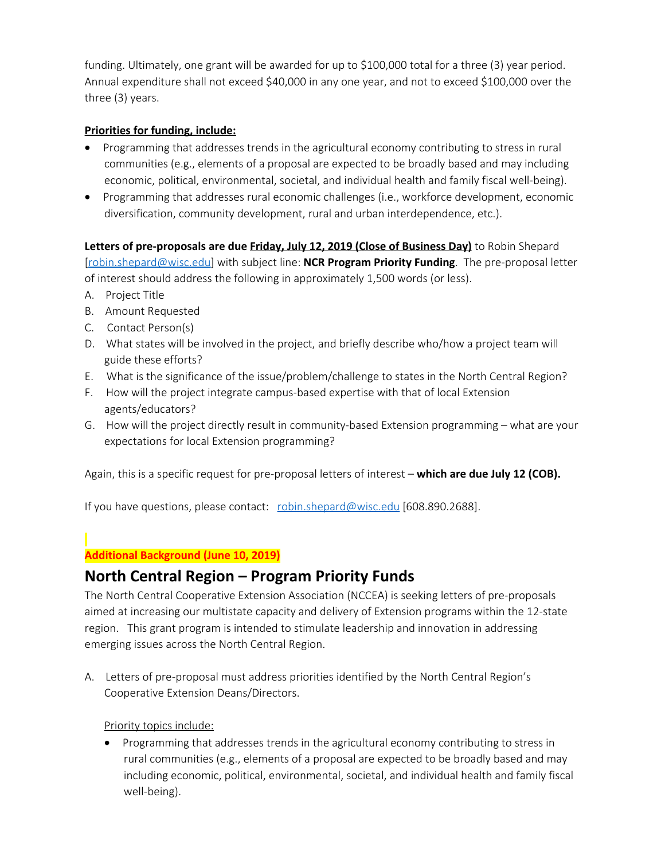funding. Ultimately, one grant will be awarded for up to \$100,000 total for a three (3) year period. Annual expenditure shall not exceed \$40,000 in any one year, and not to exceed \$100,000 over the three (3) years.

### **Priorities for funding, include:**

- · Programming that addresses trends in the agricultural economy contributing to stress in rural communities (e.g., elements of a proposal are expected to be broadly based and may including economic, political, environmental, societal, and individual health and family fiscal well-being).
- · Programming that addresses rural economic challenges (i.e., workforce development, economic diversification, community development, rural and urban interdependence, etc.).

**Letters of pre-proposals are due Friday, July 12, 2019 (Close of Business Day)** to Robin Shepard [\[robin.shepard@wisc.edu](mailto:robin.shepard@wisc.edu)] with subject line: **NCR Program Priority Funding**. The pre-proposal letter of interest should address the following in approximately 1,500 words (or less).

- A. Project Title
- B. Amount Requested
- C. Contact Person(s)
- D. What states will be involved in the project, and briefly describe who/how a project team will guide these efforts?
- E. What is the significance of the issue/problem/challenge to states in the North Central Region?
- F. How will the project integrate campus-based expertise with that of local Extension agents/educators?
- G. How will the project directly result in community-based Extension programming what are your expectations for local Extension programming?

Again, this is a specific request for pre-proposal letters of interest – **which are due July 12 (COB).**

If you have questions, please contact: [robin.shepard@wisc.edu](mailto:robin.shepard@wisc.edu) [608.890.2688].

### **Additional Background (June 10, 2019)**

# **North Central Region – Program Priority Funds**

The North Central Cooperative Extension Association (NCCEA) is seeking letters of pre-proposals aimed at increasing our multistate capacity and delivery of Extension programs within the 12-state region. This grant program is intended to stimulate leadership and innovation in addressing emerging issues across the North Central Region.

A. Letters of pre-proposal must address priorities identified by the North Central Region's Cooperative Extension Deans/Directors.

Priority topics include:

• Programming that addresses trends in the agricultural economy contributing to stress in rural communities (e.g., elements of a proposal are expected to be broadly based and may including economic, political, environmental, societal, and individual health and family fiscal well-being).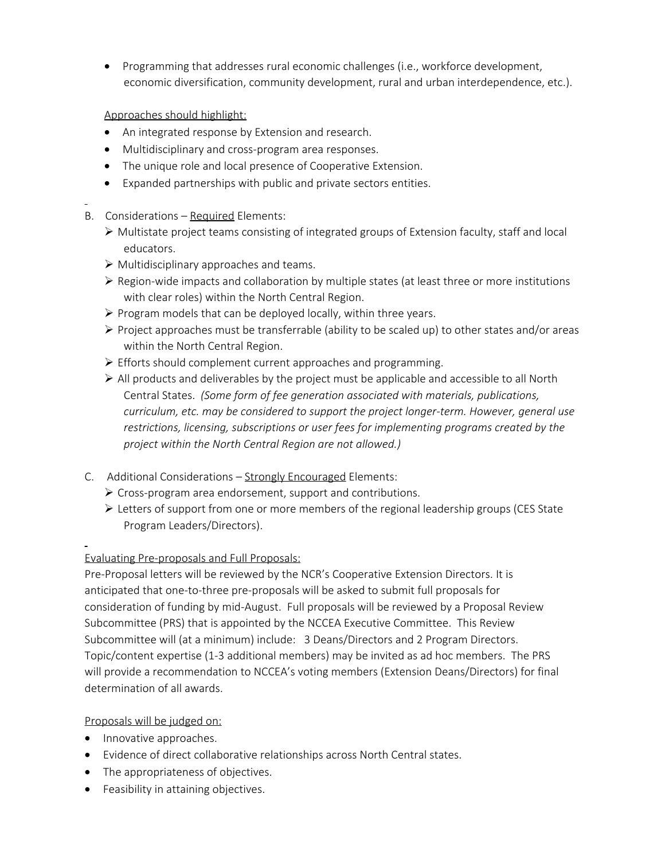• Programming that addresses rural economic challenges (i.e., workforce development, economic diversification, community development, rural and urban interdependence, etc.).

### Approaches should highlight:

- An integrated response by Extension and research.
- · Multidisciplinary and cross-program area responses.
- The unique role and local presence of Cooperative Extension.
- Expanded partnerships with public and private sectors entities.
- B. Considerations Required Elements:
	- $\triangleright$  Multistate project teams consisting of integrated groups of Extension faculty, staff and local educators.
	- $\triangleright$  Multidisciplinary approaches and teams.
	- $\triangleright$  Region-wide impacts and collaboration by multiple states (at least three or more institutions with clear roles) within the North Central Region.
	- $\triangleright$  Program models that can be deployed locally, within three years.
	- $\triangleright$  Project approaches must be transferrable (ability to be scaled up) to other states and/or areas within the North Central Region.
	- $\triangleright$  Efforts should complement current approaches and programming.
	- $\triangleright$  All products and deliverables by the project must be applicable and accessible to all North Central States. *(Some form of fee generation associated with materials, publications, curriculum, etc. may be considered to support the project longer-term. However, general use restrictions, licensing, subscriptions or user fees for implementing programs created by the project within the North Central Region are not allowed.)*
- C. Additional Considerations Strongly Encouraged Elements:
	- $\triangleright$  Cross-program area endorsement, support and contributions.
	- $\triangleright$  Letters of support from one or more members of the regional leadership groups (CES State Program Leaders/Directors).

## Evaluating Pre-proposals and Full Proposals:

Pre-Proposal letters will be reviewed by the NCR's Cooperative Extension Directors. It is anticipated that one-to-three pre-proposals will be asked to submit full proposals for consideration of funding by mid-August. Full proposals will be reviewed by a Proposal Review Subcommittee (PRS) that is appointed by the NCCEA Executive Committee. This Review Subcommittee will (at a minimum) include: 3 Deans/Directors and 2 Program Directors. Topic/content expertise (1-3 additional members) may be invited as ad hoc members. The PRS will provide a recommendation to NCCEA's voting members (Extension Deans/Directors) for final determination of all awards.

## Proposals will be judged on:

- Innovative approaches.
- · Evidence of direct collaborative relationships across North Central states.
- The appropriateness of objectives.
- Feasibility in attaining objectives.